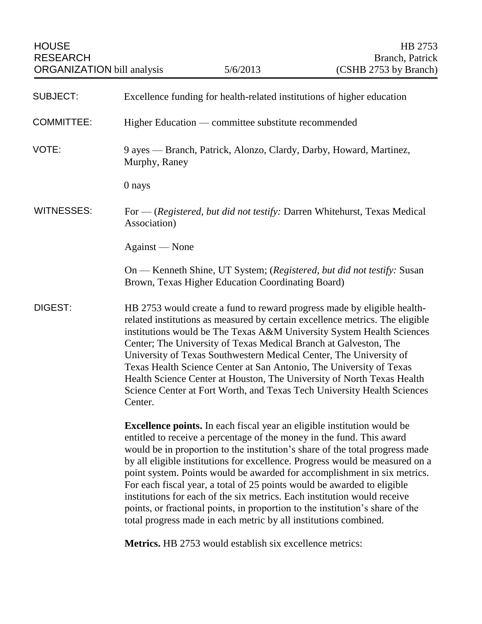| <b>HOUSE</b><br><b>RESEARCH</b><br><b>ORGANIZATION</b> bill analysis |                                                                                                                                                                                                                                                                                                                                                                                                                                                                                                                                                                                                                                                                                                                 | 5/6/2013                                                               | HB 2753<br>Branch, Patrick<br>(CSHB 2753 by Branch)                    |  |
|----------------------------------------------------------------------|-----------------------------------------------------------------------------------------------------------------------------------------------------------------------------------------------------------------------------------------------------------------------------------------------------------------------------------------------------------------------------------------------------------------------------------------------------------------------------------------------------------------------------------------------------------------------------------------------------------------------------------------------------------------------------------------------------------------|------------------------------------------------------------------------|------------------------------------------------------------------------|--|
| <b>SUBJECT:</b>                                                      |                                                                                                                                                                                                                                                                                                                                                                                                                                                                                                                                                                                                                                                                                                                 | Excellence funding for health-related institutions of higher education |                                                                        |  |
| <b>COMMITTEE:</b>                                                    | Higher Education — committee substitute recommended                                                                                                                                                                                                                                                                                                                                                                                                                                                                                                                                                                                                                                                             |                                                                        |                                                                        |  |
| VOTE:                                                                | 9 ayes — Branch, Patrick, Alonzo, Clardy, Darby, Howard, Martinez,<br>Murphy, Raney                                                                                                                                                                                                                                                                                                                                                                                                                                                                                                                                                                                                                             |                                                                        |                                                                        |  |
|                                                                      | 0 nays                                                                                                                                                                                                                                                                                                                                                                                                                                                                                                                                                                                                                                                                                                          |                                                                        |                                                                        |  |
| <b>WITNESSES:</b>                                                    | For — (Registered, but did not testify: Darren Whitehurst, Texas Medical<br>Association)                                                                                                                                                                                                                                                                                                                                                                                                                                                                                                                                                                                                                        |                                                                        |                                                                        |  |
|                                                                      | Against — None                                                                                                                                                                                                                                                                                                                                                                                                                                                                                                                                                                                                                                                                                                  |                                                                        |                                                                        |  |
|                                                                      |                                                                                                                                                                                                                                                                                                                                                                                                                                                                                                                                                                                                                                                                                                                 | Brown, Texas Higher Education Coordinating Board)                      | On — Kenneth Shine, UT System; (Registered, but did not testify: Susan |  |
| <b>DIGEST:</b>                                                       | HB 2753 would create a fund to reward progress made by eligible health-<br>related institutions as measured by certain excellence metrics. The eligible<br>institutions would be The Texas A&M University System Health Sciences<br>Center; The University of Texas Medical Branch at Galveston, The<br>University of Texas Southwestern Medical Center, The University of<br>Texas Health Science Center at San Antonio, The University of Texas<br>Health Science Center at Houston, The University of North Texas Health<br>Science Center at Fort Worth, and Texas Tech University Health Sciences<br>Center.                                                                                               |                                                                        |                                                                        |  |
|                                                                      | <b>Excellence points.</b> In each fiscal year an eligible institution would be<br>entitled to receive a percentage of the money in the fund. This award<br>would be in proportion to the institution's share of the total progress made<br>by all eligible institutions for excellence. Progress would be measured on a<br>point system. Points would be awarded for accomplishment in six metrics.<br>For each fiscal year, a total of 25 points would be awarded to eligible<br>institutions for each of the six metrics. Each institution would receive<br>points, or fractional points, in proportion to the institution's share of the<br>total progress made in each metric by all institutions combined. |                                                                        |                                                                        |  |
|                                                                      |                                                                                                                                                                                                                                                                                                                                                                                                                                                                                                                                                                                                                                                                                                                 | <b>Metrics.</b> HB 2753 would establish six excellence metrics:        |                                                                        |  |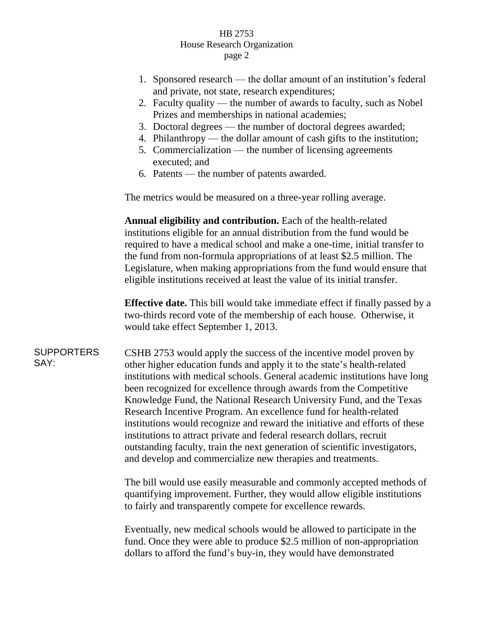## HB 2753 House Research Organization page 2

- 1. Sponsored research the dollar amount of an institution's federal and private, not state, research expenditures;
- 2. Faculty quality the number of awards to faculty, such as Nobel Prizes and memberships in national academies;
- 3. Doctoral degrees the number of doctoral degrees awarded;
- 4. Philanthropy the dollar amount of cash gifts to the institution;
- 5. Commercialization the number of licensing agreements executed; and
- 6. Patents the number of patents awarded.

The metrics would be measured on a three-year rolling average.

**Annual eligibility and contribution.** Each of the health-related institutions eligible for an annual distribution from the fund would be required to have a medical school and make a one-time, initial transfer to the fund from non-formula appropriations of at least \$2.5 million. The Legislature, when making appropriations from the fund would ensure that eligible institutions received at least the value of its initial transfer.

**Effective date.** This bill would take immediate effect if finally passed by a two-thirds record vote of the membership of each house. Otherwise, it would take effect September 1, 2013.

## SUPPORTERS SAY:

CSHB 2753 would apply the success of the incentive model proven by other higher education funds and apply it to the state's health-related institutions with medical schools. General academic institutions have long been recognized for excellence through awards from the Competitive Knowledge Fund, the National Research University Fund, and the Texas Research Incentive Program. An excellence fund for health-related institutions would recognize and reward the initiative and efforts of these institutions to attract private and federal research dollars, recruit outstanding faculty, train the next generation of scientific investigators, and develop and commercialize new therapies and treatments.

The bill would use easily measurable and commonly accepted methods of quantifying improvement. Further, they would allow eligible institutions to fairly and transparently compete for excellence rewards.

Eventually, new medical schools would be allowed to participate in the fund. Once they were able to produce \$2.5 million of non-appropriation dollars to afford the fund's buy-in, they would have demonstrated